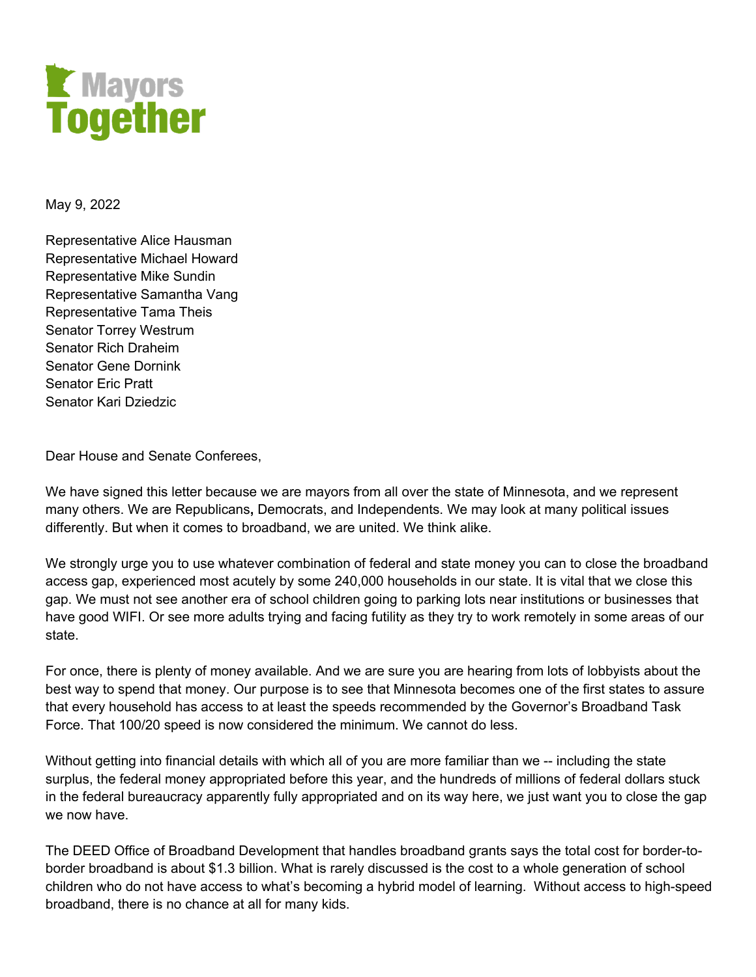

May 9, 2022

Representative Alice Hausman Representative Michael Howard Representative Mike Sundin Representative Samantha Vang Representative Tama Theis Senator Torrey Westrum Senator Rich Draheim Senator Gene Dornink Senator Eric Pratt Senator Kari Dziedzic

Dear House and Senate Conferees,

We have signed this letter because we are mayors from all over the state of Minnesota, and we represent many others. We are Republicans**,** Democrats, and Independents. We may look at many political issues differently. But when it comes to broadband, we are united. We think alike.

We strongly urge you to use whatever combination of federal and state money you can to close the broadband access gap, experienced most acutely by some 240,000 households in our state. It is vital that we close this gap. We must not see another era of school children going to parking lots near institutions or businesses that have good WIFI. Or see more adults trying and facing futility as they try to work remotely in some areas of our state.

For once, there is plenty of money available. And we are sure you are hearing from lots of lobbyists about the best way to spend that money. Our purpose is to see that Minnesota becomes one of the first states to assure that every household has access to at least the speeds recommended by the Governor's Broadband Task Force. That 100/20 speed is now considered the minimum. We cannot do less.

Without getting into financial details with which all of you are more familiar than we -- including the state surplus, the federal money appropriated before this year, and the hundreds of millions of federal dollars stuck in the federal bureaucracy apparently fully appropriated and on its way here, we just want you to close the gap we now have.

The DEED Office of Broadband Development that handles broadband grants says the total cost for border-toborder broadband is about \$1.3 billion. What is rarely discussed is the cost to a whole generation of school children who do not have access to what's becoming a hybrid model of learning. Without access to high-speed broadband, there is no chance at all for many kids.